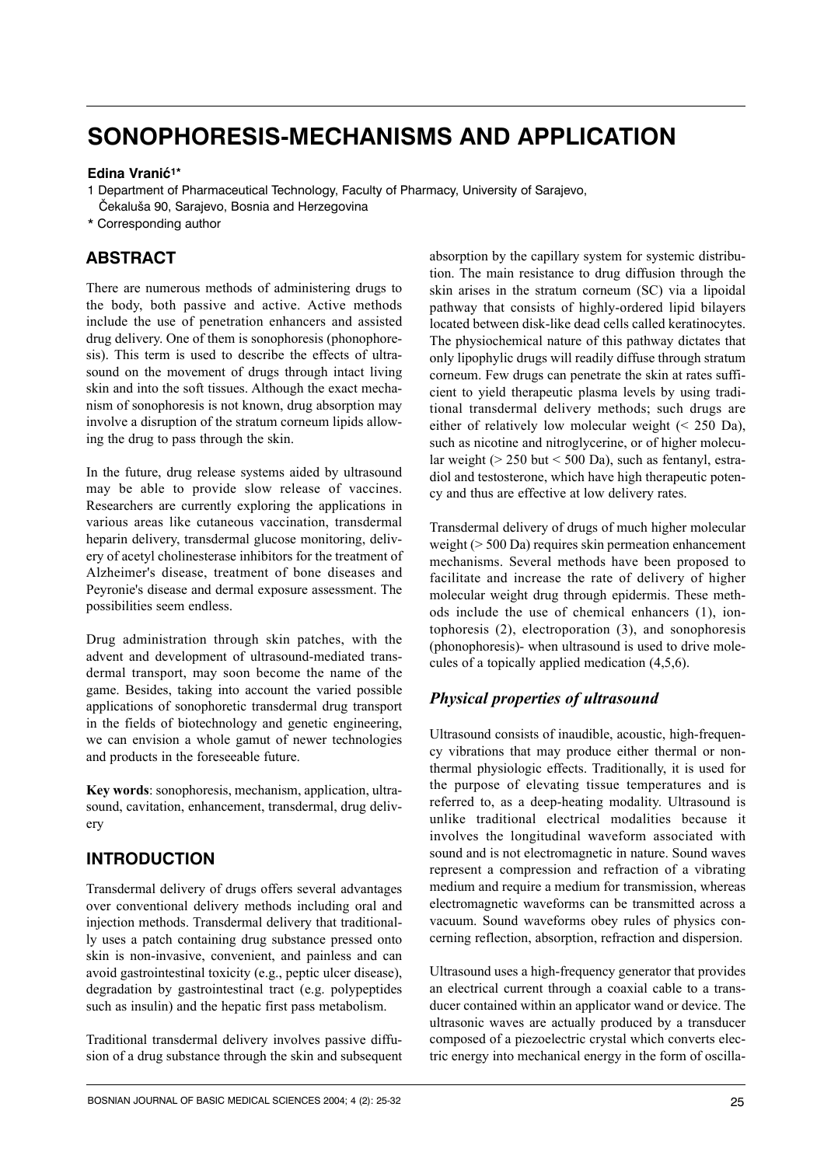# **SONOPHORESIS-MECHANISMS AND APPLICATION**

#### Edina Vranić<sup>1\*</sup>

- 1 Department of Pharmaceutical Technology, Faculty of Pharmacy, University of Sarajevo, Čekaluša 90, Sarajevo, Bosnia and Herzegovina
- \* Corresponding author

# **ABSTRACT**

There are numerous methods of administering drugs to the body, both passive and active. Active methods include the use of penetration enhancers and assisted drug delivery. One of them is sonophoresis (phonophoresis). This term is used to describe the effects of ultrasound on the movement of drugs through intact living skin and into the soft tissues. Although the exact mechanism of sonophoresis is not known, drug absorption may involve a disruption of the stratum corneum lipids allowing the drug to pass through the skin.

In the future, drug release systems aided by ultrasound may be able to provide slow release of vaccines. Researchers are currently exploring the applications in various areas like cutaneous vaccination, transdermal heparin delivery, transdermal glucose monitoring, delivery of acetyl cholinesterase inhibitors for the treatment of Alzheimer's disease, treatment of bone diseases and Peyronie's disease and dermal exposure assessment. The possibilities seem endless.

Drug administration through skin patches, with the advent and development of ultrasound-mediated transdermal transport, may soon become the name of the game. Besides, taking into account the varied possible applications of sonophoretic transdermal drug transport in the fields of biotechnology and genetic engineering, we can envision a whole gamut of newer technologies and products in the foreseeable future.

**Key words**: sonophoresis, mechanism, application, ultrasound, cavitation, enhancement, transdermal, drug delivery

# **INTRODUCTION**

Transdermal delivery of drugs offers several advantages over conventional delivery methods including oral and injection methods. Transdermal delivery that traditionally uses a patch containing drug substance pressed onto skin is non-invasive, convenient, and painless and can avoid gastrointestinal toxicity (e.g., peptic ulcer disease), degradation by gastrointestinal tract (e.g. polypeptides such as insulin) and the hepatic first pass metabolism.

Traditional transdermal delivery involves passive diffusion of a drug substance through the skin and subsequent absorption by the capillary system for systemic distribution. The main resistance to drug diffusion through the skin arises in the stratum corneum (SC) via a lipoidal pathway that consists of highly-ordered lipid bilayers located between disk-like dead cells called keratinocytes. The physiochemical nature of this pathway dictates that only lipophylic drugs will readily diffuse through stratum corneum. Few drugs can penetrate the skin at rates sufficient to yield therapeutic plasma levels by using traditional transdermal delivery methods; such drugs are either of relatively low molecular weight (< 250 Da), such as nicotine and nitroglycerine, or of higher molecular weight (> 250 but < 500 Da), such as fentanyl, estradiol and testosterone, which have high therapeutic potency and thus are effective at low delivery rates.

Transdermal delivery of drugs of much higher molecular weight (> 500 Da) requires skin permeation enhancement mechanisms. Several methods have been proposed to facilitate and increase the rate of delivery of higher molecular weight drug through epidermis. These methods include the use of chemical enhancers (1), iontophoresis (2), electroporation (3), and sonophoresis (phonophoresis)- when ultrasound is used to drive molecules of a topically applied medication (4,5,6).

# *Physical properties of ultrasound*

Ultrasound consists of inaudible, acoustic, high-frequency vibrations that may produce either thermal or nonthermal physiologic effects. Traditionally, it is used for the purpose of elevating tissue temperatures and is referred to, as a deep-heating modality. Ultrasound is unlike traditional electrical modalities because it involves the longitudinal waveform associated with sound and is not electromagnetic in nature. Sound waves represent a compression and refraction of a vibrating medium and require a medium for transmission, whereas electromagnetic waveforms can be transmitted across a vacuum. Sound waveforms obey rules of physics concerning reflection, absorption, refraction and dispersion.

Ultrasound uses a high-frequency generator that provides an electrical current through a coaxial cable to a transducer contained within an applicator wand or device. The ultrasonic waves are actually produced by a transducer composed of a piezoelectric crystal which converts electric energy into mechanical energy in the form of oscilla-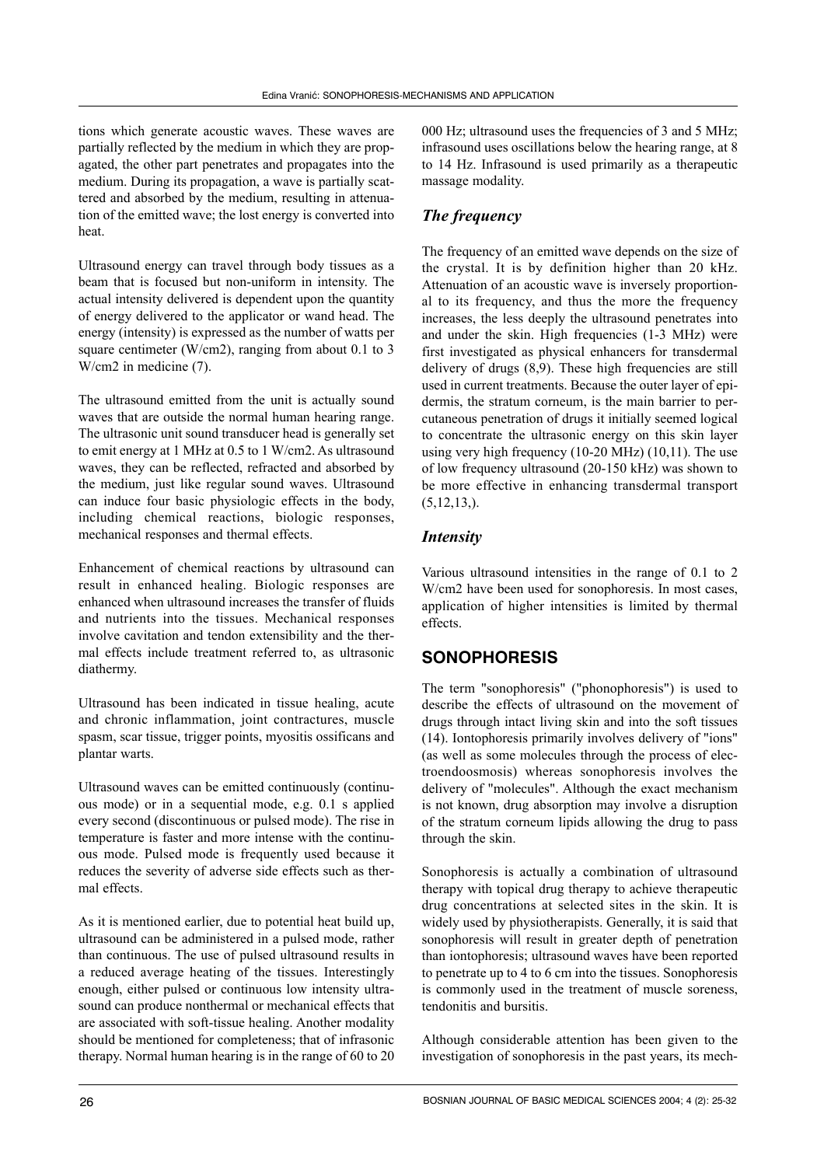tions which generate acoustic waves. These waves are partially reflected by the medium in which they are propagated, the other part penetrates and propagates into the medium. During its propagation, a wave is partially scattered and absorbed by the medium, resulting in attenuation of the emitted wave; the lost energy is converted into heat.

Ultrasound energy can travel through body tissues as a beam that is focused but non-uniform in intensity. The actual intensity delivered is dependent upon the quantity of energy delivered to the applicator or wand head. The energy (intensity) is expressed as the number of watts per square centimeter (W/cm2), ranging from about 0.1 to 3 W/cm2 in medicine (7).

The ultrasound emitted from the unit is actually sound waves that are outside the normal human hearing range. The ultrasonic unit sound transducer head is generally set to emit energy at 1 MHz at 0.5 to 1 W/cm2. As ultrasound waves, they can be reflected, refracted and absorbed by the medium, just like regular sound waves. Ultrasound can induce four basic physiologic effects in the body, including chemical reactions, biologic responses, mechanical responses and thermal effects.

Enhancement of chemical reactions by ultrasound can result in enhanced healing. Biologic responses are enhanced when ultrasound increases the transfer of fluids and nutrients into the tissues. Mechanical responses involve cavitation and tendon extensibility and the thermal effects include treatment referred to, as ultrasonic diathermy.

Ultrasound has been indicated in tissue healing, acute and chronic inflammation, joint contractures, muscle spasm, scar tissue, trigger points, myositis ossificans and plantar warts.

Ultrasound waves can be emitted continuously (continuous mode) or in a sequential mode, e.g. 0.1 s applied every second (discontinuous or pulsed mode). The rise in temperature is faster and more intense with the continuous mode. Pulsed mode is frequently used because it reduces the severity of adverse side effects such as thermal effects.

As it is mentioned earlier, due to potential heat build up, ultrasound can be administered in a pulsed mode, rather than continuous. The use of pulsed ultrasound results in a reduced average heating of the tissues. Interestingly enough, either pulsed or continuous low intensity ultrasound can produce nonthermal or mechanical effects that are associated with soft-tissue healing. Another modality should be mentioned for completeness; that of infrasonic therapy. Normal human hearing is in the range of 60 to 20 000 Hz; ultrasound uses the frequencies of 3 and 5 MHz; infrasound uses oscillations below the hearing range, at 8 to 14 Hz. Infrasound is used primarily as a therapeutic massage modality.

## *The frequency*

The frequency of an emitted wave depends on the size of the crystal. It is by definition higher than 20 kHz. Attenuation of an acoustic wave is inversely proportional to its frequency, and thus the more the frequency increases, the less deeply the ultrasound penetrates into and under the skin. High frequencies (1-3 MHz) were first investigated as physical enhancers for transdermal delivery of drugs (8,9). These high frequencies are still used in current treatments. Because the outer layer of epidermis, the stratum corneum, is the main barrier to percutaneous penetration of drugs it initially seemed logical to concentrate the ultrasonic energy on this skin layer using very high frequency (10-20 MHz) (10,11). The use of low frequency ultrasound (20-150 kHz) was shown to be more effective in enhancing transdermal transport  $(5,12,13)$ .

#### *Intensity*

Various ultrasound intensities in the range of 0.1 to 2 W/cm2 have been used for sonophoresis. In most cases, application of higher intensities is limited by thermal effects.

# **SONOPHORESIS**

The term "sonophoresis" ("phonophoresis") is used to describe the effects of ultrasound on the movement of drugs through intact living skin and into the soft tissues (14). Iontophoresis primarily involves delivery of "ions" (as well as some molecules through the process of electroendoosmosis) whereas sonophoresis involves the delivery of "molecules". Although the exact mechanism is not known, drug absorption may involve a disruption of the stratum corneum lipids allowing the drug to pass through the skin.

Sonophoresis is actually a combination of ultrasound therapy with topical drug therapy to achieve therapeutic drug concentrations at selected sites in the skin. It is widely used by physiotherapists. Generally, it is said that sonophoresis will result in greater depth of penetration than iontophoresis; ultrasound waves have been reported to penetrate up to 4 to 6 cm into the tissues. Sonophoresis is commonly used in the treatment of muscle soreness, tendonitis and bursitis.

Although considerable attention has been given to the investigation of sonophoresis in the past years, its mech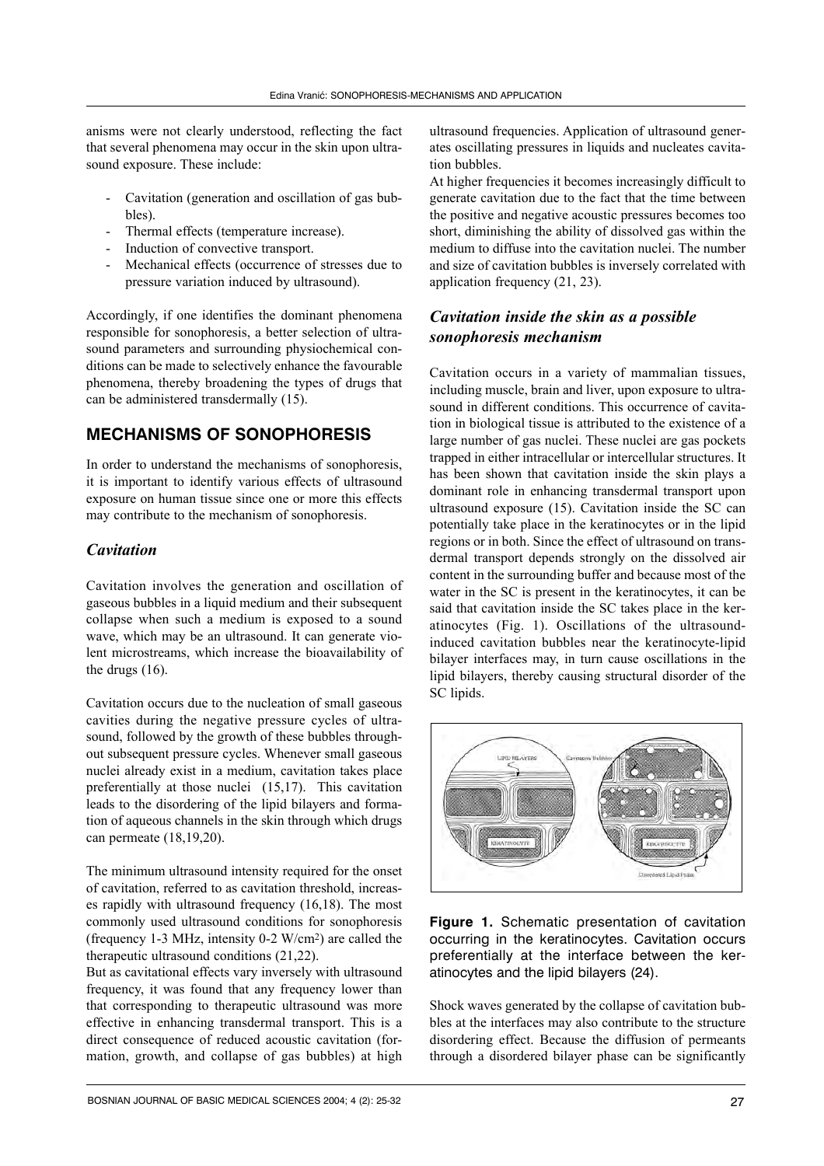anisms were not clearly understood, reflecting the fact that several phenomena may occur in the skin upon ultrasound exposure. These include:

- Cavitation (generation and oscillation of gas bubbles).
- Thermal effects (temperature increase).
- Induction of convective transport.
- Mechanical effects (occurrence of stresses due to pressure variation induced by ultrasound).

Accordingly, if one identifies the dominant phenomena responsible for sonophoresis, a better selection of ultrasound parameters and surrounding physiochemical conditions can be made to selectively enhance the favourable phenomena, thereby broadening the types of drugs that can be administered transdermally (15).

# **MECHANISMS OF SONOPHORESIS**

In order to understand the mechanisms of sonophoresis, it is important to identify various effects of ultrasound exposure on human tissue since one or more this effects may contribute to the mechanism of sonophoresis.

#### *Cavitation*

Cavitation involves the generation and oscillation of gaseous bubbles in a liquid medium and their subsequent collapse when such a medium is exposed to a sound wave, which may be an ultrasound. It can generate violent microstreams, which increase the bioavailability of the drugs (16).

Cavitation occurs due to the nucleation of small gaseous cavities during the negative pressure cycles of ultrasound, followed by the growth of these bubbles throughout subsequent pressure cycles. Whenever small gaseous nuclei already exist in a medium, cavitation takes place preferentially at those nuclei (15,17). This cavitation leads to the disordering of the lipid bilayers and formation of aqueous channels in the skin through which drugs can permeate (18,19,20).

The minimum ultrasound intensity required for the onset of cavitation, referred to as cavitation threshold, increases rapidly with ultrasound frequency (16,18). The most commonly used ultrasound conditions for sonophoresis (frequency 1-3 MHz, intensity 0-2 W/cm2) are called the therapeutic ultrasound conditions (21,22).

But as cavitational effects vary inversely with ultrasound frequency, it was found that any frequency lower than that corresponding to therapeutic ultrasound was more effective in enhancing transdermal transport. This is a direct consequence of reduced acoustic cavitation (formation, growth, and collapse of gas bubbles) at high ultrasound frequencies. Application of ultrasound generates oscillating pressures in liquids and nucleates cavitation bubbles.

At higher frequencies it becomes increasingly difficult to generate cavitation due to the fact that the time between the positive and negative acoustic pressures becomes too short, diminishing the ability of dissolved gas within the medium to diffuse into the cavitation nuclei. The number and size of cavitation bubbles is inversely correlated with application frequency (21, 23).

### *Cavitation inside the skin as a possible sonophoresis mechanism*

Cavitation occurs in a variety of mammalian tissues, including muscle, brain and liver, upon exposure to ultrasound in different conditions. This occurrence of cavitation in biological tissue is attributed to the existence of a large number of gas nuclei. These nuclei are gas pockets trapped in either intracellular or intercellular structures. It has been shown that cavitation inside the skin plays a dominant role in enhancing transdermal transport upon ultrasound exposure (15). Cavitation inside the SC can potentially take place in the keratinocytes or in the lipid regions or in both. Since the effect of ultrasound on transdermal transport depends strongly on the dissolved air content in the surrounding buffer and because most of the water in the SC is present in the keratinocytes, it can be said that cavitation inside the SC takes place in the keratinocytes (Fig. 1). Oscillations of the ultrasoundinduced cavitation bubbles near the keratinocyte-lipid bilayer interfaces may, in turn cause oscillations in the lipid bilayers, thereby causing structural disorder of the SC lipids.



**Figure 1.** Schematic presentation of cavitation occurring in the keratinocytes. Cavitation occurs preferentially at the interface between the keratinocytes and the lipid bilayers (24).

Shock waves generated by the collapse of cavitation bubbles at the interfaces may also contribute to the structure disordering effect. Because the diffusion of permeants through a disordered bilayer phase can be significantly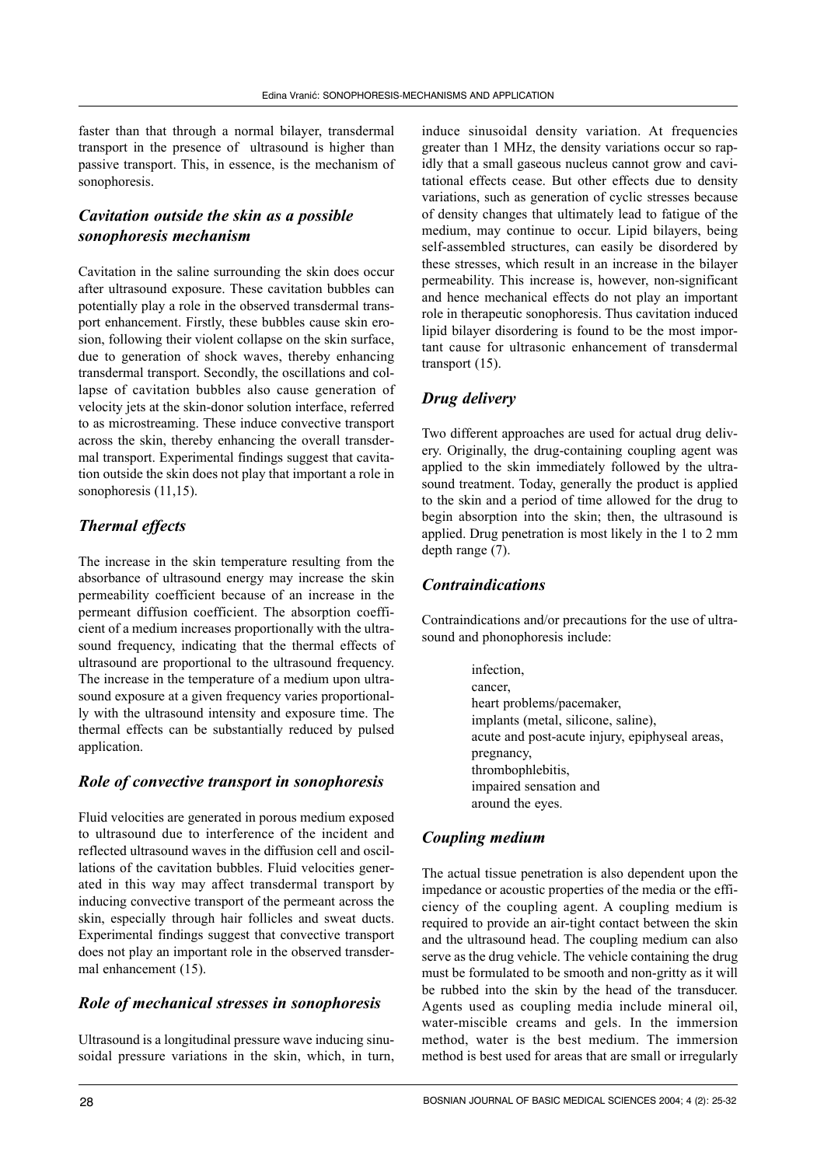faster than that through a normal bilayer, transdermal transport in the presence of ultrasound is higher than passive transport. This, in essence, is the mechanism of sonophoresis.

### *Cavitation outside the skin as a possible sonophoresis mechanism*

Cavitation in the saline surrounding the skin does occur after ultrasound exposure. These cavitation bubbles can potentially play a role in the observed transdermal transport enhancement. Firstly, these bubbles cause skin erosion, following their violent collapse on the skin surface, due to generation of shock waves, thereby enhancing transdermal transport. Secondly, the oscillations and collapse of cavitation bubbles also cause generation of velocity jets at the skin-donor solution interface, referred to as microstreaming. These induce convective transport across the skin, thereby enhancing the overall transdermal transport. Experimental findings suggest that cavitation outside the skin does not play that important a role in sonophoresis (11,15).

## *Thermal effects*

The increase in the skin temperature resulting from the absorbance of ultrasound energy may increase the skin permeability coefficient because of an increase in the permeant diffusion coefficient. The absorption coefficient of a medium increases proportionally with the ultrasound frequency, indicating that the thermal effects of ultrasound are proportional to the ultrasound frequency. The increase in the temperature of a medium upon ultrasound exposure at a given frequency varies proportionally with the ultrasound intensity and exposure time. The thermal effects can be substantially reduced by pulsed application.

#### *Role of convective transport in sonophoresis*

Fluid velocities are generated in porous medium exposed to ultrasound due to interference of the incident and reflected ultrasound waves in the diffusion cell and oscillations of the cavitation bubbles. Fluid velocities generated in this way may affect transdermal transport by inducing convective transport of the permeant across the skin, especially through hair follicles and sweat ducts. Experimental findings suggest that convective transport does not play an important role in the observed transdermal enhancement (15).

### *Role of mechanical stresses in sonophoresis*

Ultrasound is a longitudinal pressure wave inducing sinusoidal pressure variations in the skin, which, in turn, induce sinusoidal density variation. At frequencies greater than 1 MHz, the density variations occur so rapidly that a small gaseous nucleus cannot grow and cavitational effects cease. But other effects due to density variations, such as generation of cyclic stresses because of density changes that ultimately lead to fatigue of the medium, may continue to occur. Lipid bilayers, being self-assembled structures, can easily be disordered by these stresses, which result in an increase in the bilayer permeability. This increase is, however, non-significant and hence mechanical effects do not play an important role in therapeutic sonophoresis. Thus cavitation induced lipid bilayer disordering is found to be the most important cause for ultrasonic enhancement of transdermal transport (15).

# *Drug delivery*

Two different approaches are used for actual drug delivery. Originally, the drug-containing coupling agent was applied to the skin immediately followed by the ultrasound treatment. Today, generally the product is applied to the skin and a period of time allowed for the drug to begin absorption into the skin; then, the ultrasound is applied. Drug penetration is most likely in the 1 to 2 mm depth range (7).

#### *Contraindications*

Contraindications and/or precautions for the use of ultrasound and phonophoresis include:

> infection, cancer, heart problems/pacemaker, implants (metal, silicone, saline), acute and post-acute injury, epiphyseal areas, pregnancy, thrombophlebitis, impaired sensation and around the eyes.

### *Coupling medium*

The actual tissue penetration is also dependent upon the impedance or acoustic properties of the media or the efficiency of the coupling agent. A coupling medium is required to provide an air-tight contact between the skin and the ultrasound head. The coupling medium can also serve as the drug vehicle. The vehicle containing the drug must be formulated to be smooth and non-gritty as it will be rubbed into the skin by the head of the transducer. Agents used as coupling media include mineral oil, water-miscible creams and gels. In the immersion method, water is the best medium. The immersion method is best used for areas that are small or irregularly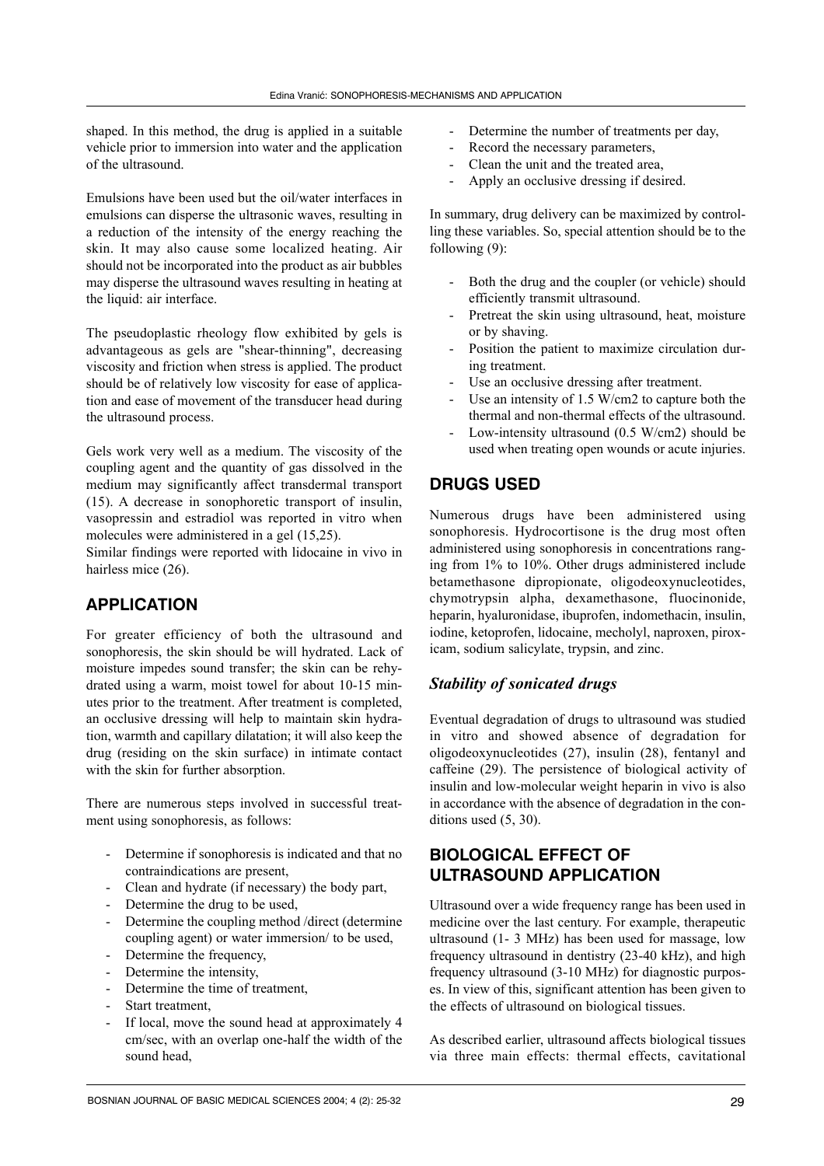shaped. In this method, the drug is applied in a suitable vehicle prior to immersion into water and the application of the ultrasound.

Emulsions have been used but the oil/water interfaces in emulsions can disperse the ultrasonic waves, resulting in a reduction of the intensity of the energy reaching the skin. It may also cause some localized heating. Air should not be incorporated into the product as air bubbles may disperse the ultrasound waves resulting in heating at the liquid: air interface.

The pseudoplastic rheology flow exhibited by gels is advantageous as gels are "shear-thinning", decreasing viscosity and friction when stress is applied. The product should be of relatively low viscosity for ease of application and ease of movement of the transducer head during the ultrasound process.

Gels work very well as a medium. The viscosity of the coupling agent and the quantity of gas dissolved in the medium may significantly affect transdermal transport (15). A decrease in sonophoretic transport of insulin, vasopressin and estradiol was reported in vitro when molecules were administered in a gel (15,25).

Similar findings were reported with lidocaine in vivo in hairless mice (26).

### **APPLICATION**

For greater efficiency of both the ultrasound and sonophoresis, the skin should be will hydrated. Lack of moisture impedes sound transfer; the skin can be rehydrated using a warm, moist towel for about 10-15 minutes prior to the treatment. After treatment is completed, an occlusive dressing will help to maintain skin hydration, warmth and capillary dilatation; it will also keep the drug (residing on the skin surface) in intimate contact with the skin for further absorption.

There are numerous steps involved in successful treatment using sonophoresis, as follows:

- Determine if sonophoresis is indicated and that no contraindications are present,
- Clean and hydrate (if necessary) the body part,
- Determine the drug to be used,
- Determine the coupling method /direct (determine coupling agent) or water immersion/ to be used,
- Determine the frequency,
- Determine the intensity,
- Determine the time of treatment,
- Start treatment,
- If local, move the sound head at approximately 4 cm/sec, with an overlap one-half the width of the sound head,
- Determine the number of treatments per day,
- Record the necessary parameters,
- Clean the unit and the treated area,
- Apply an occlusive dressing if desired.

In summary, drug delivery can be maximized by controlling these variables. So, special attention should be to the following (9):

- Both the drug and the coupler (or vehicle) should efficiently transmit ultrasound.
- Pretreat the skin using ultrasound, heat, moisture or by shaving.
- Position the patient to maximize circulation during treatment.
- Use an occlusive dressing after treatment.
- Use an intensity of 1.5 W/cm2 to capture both the thermal and non-thermal effects of the ultrasound.
- Low-intensity ultrasound  $(0.5 \text{ W/cm2})$  should be used when treating open wounds or acute injuries.

# **DRUGS USED**

Numerous drugs have been administered using sonophoresis. Hydrocortisone is the drug most often administered using sonophoresis in concentrations ranging from 1% to 10%. Other drugs administered include betamethasone dipropionate, oligodeoxynucleotides, chymotrypsin alpha, dexamethasone, fluocinonide, heparin, hyaluronidase, ibuprofen, indomethacin, insulin, iodine, ketoprofen, lidocaine, mecholyl, naproxen, piroxicam, sodium salicylate, trypsin, and zinc.

### *Stability of sonicated drugs*

Eventual degradation of drugs to ultrasound was studied in vitro and showed absence of degradation for oligodeoxynucleotides (27), insulin (28), fentanyl and caffeine (29). The persistence of biological activity of insulin and low-molecular weight heparin in vivo is also in accordance with the absence of degradation in the conditions used (5, 30).

# **BIOLOGICAL EFFECT OF ULTRASOUND APPLICATION**

Ultrasound over a wide frequency range has been used in medicine over the last century. For example, therapeutic ultrasound (1- 3 MHz) has been used for massage, low frequency ultrasound in dentistry (23-40 kHz), and high frequency ultrasound (3-10 MHz) for diagnostic purposes. In view of this, significant attention has been given to the effects of ultrasound on biological tissues.

As described earlier, ultrasound affects biological tissues via three main effects: thermal effects, cavitational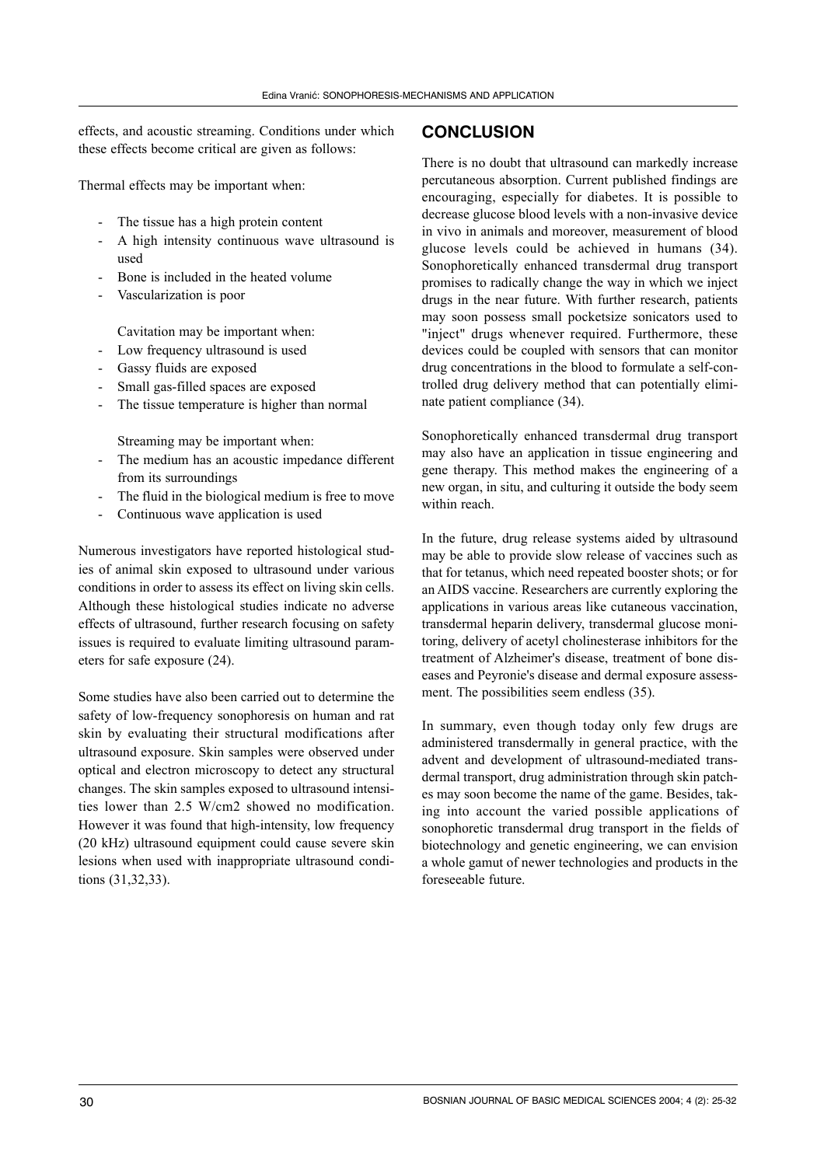effects, and acoustic streaming. Conditions under which these effects become critical are given as follows:

Thermal effects may be important when:

- The tissue has a high protein content
- A high intensity continuous wave ultrasound is used
- Bone is included in the heated volume
- Vascularization is poor

Cavitation may be important when:

- Low frequency ultrasound is used
- Gassy fluids are exposed
- Small gas-filled spaces are exposed
- The tissue temperature is higher than normal

Streaming may be important when:

- The medium has an acoustic impedance different from its surroundings
- The fluid in the biological medium is free to move
- Continuous wave application is used

Numerous investigators have reported histological studies of animal skin exposed to ultrasound under various conditions in order to assess its effect on living skin cells. Although these histological studies indicate no adverse effects of ultrasound, further research focusing on safety issues is required to evaluate limiting ultrasound parameters for safe exposure (24).

Some studies have also been carried out to determine the safety of low-frequency sonophoresis on human and rat skin by evaluating their structural modifications after ultrasound exposure. Skin samples were observed under optical and electron microscopy to detect any structural changes. The skin samples exposed to ultrasound intensities lower than 2.5 W/cm2 showed no modification. However it was found that high-intensity, low frequency (20 kHz) ultrasound equipment could cause severe skin lesions when used with inappropriate ultrasound conditions (31,32,33).

### **CONCLUSION**

There is no doubt that ultrasound can markedly increase percutaneous absorption. Current published findings are encouraging, especially for diabetes. It is possible to decrease glucose blood levels with a non-invasive device in vivo in animals and moreover, measurement of blood glucose levels could be achieved in humans (34). Sonophoretically enhanced transdermal drug transport promises to radically change the way in which we inject drugs in the near future. With further research, patients may soon possess small pocketsize sonicators used to "inject" drugs whenever required. Furthermore, these devices could be coupled with sensors that can monitor drug concentrations in the blood to formulate a self-controlled drug delivery method that can potentially eliminate patient compliance (34).

Sonophoretically enhanced transdermal drug transport may also have an application in tissue engineering and gene therapy. This method makes the engineering of a new organ, in situ, and culturing it outside the body seem within reach.

In the future, drug release systems aided by ultrasound may be able to provide slow release of vaccines such as that for tetanus, which need repeated booster shots; or for an AIDS vaccine. Researchers are currently exploring the applications in various areas like cutaneous vaccination, transdermal heparin delivery, transdermal glucose monitoring, delivery of acetyl cholinesterase inhibitors for the treatment of Alzheimer's disease, treatment of bone diseases and Peyronie's disease and dermal exposure assessment. The possibilities seem endless (35).

In summary, even though today only few drugs are administered transdermally in general practice, with the advent and development of ultrasound-mediated transdermal transport, drug administration through skin patches may soon become the name of the game. Besides, taking into account the varied possible applications of sonophoretic transdermal drug transport in the fields of biotechnology and genetic engineering, we can envision a whole gamut of newer technologies and products in the foreseeable future.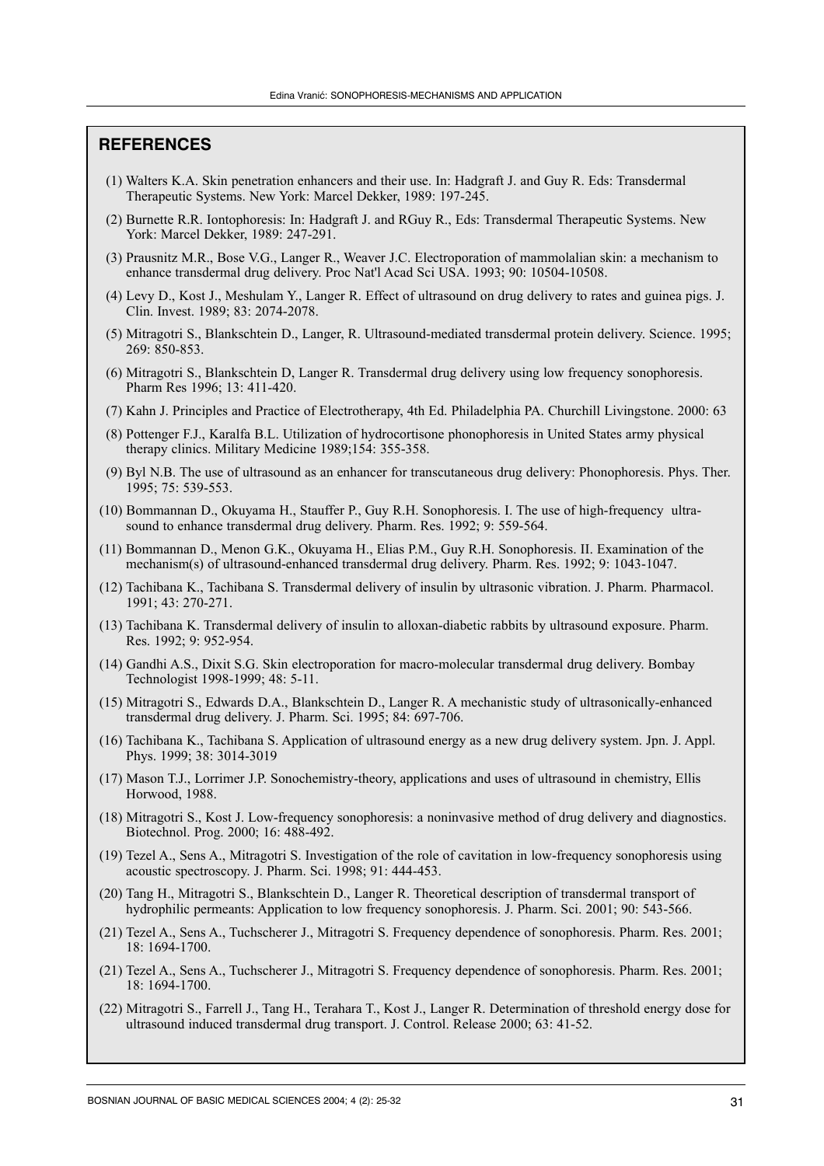#### **REFERENCES**

- (1) Walters K.A. Skin penetration enhancers and their use. In: Hadgraft J. and Guy R. Eds: Transdermal Therapeutic Systems. New York: Marcel Dekker, 1989: 197-245.
- (2) Burnette R.R. Iontophoresis: In: Hadgraft J. and RGuy R., Eds: Transdermal Therapeutic Systems. New York: Marcel Dekker, 1989: 247-291.
- (3) Prausnitz M.R., Bose V.G., Langer R., Weaver J.C. Electroporation of mammolalian skin: a mechanism to enhance transdermal drug delivery. Proc Nat'l Acad Sci USA. 1993; 90: 10504-10508.
- (4) Levy D., Kost J., Meshulam Y., Langer R. Effect of ultrasound on drug delivery to rates and guinea pigs. J. Clin. Invest. 1989; 83: 2074-2078.
- (5) Mitragotri S., Blankschtein D., Langer, R. Ultrasound-mediated transdermal protein delivery. Science. 1995; 269: 850-853.
- (6) Mitragotri S., Blankschtein D, Langer R. Transdermal drug delivery using low frequency sonophoresis. Pharm Res 1996; 13: 411-420.
- (7) Kahn J. Principles and Practice of Electrotherapy, 4th Ed. Philadelphia PA. Churchill Livingstone. 2000: 63
- (8) Pottenger F.J., Karalfa B.L. Utilization of hydrocortisone phonophoresis in United States army physical therapy clinics. Military Medicine 1989;154: 355-358.
- (9) Byl N.B. The use of ultrasound as an enhancer for transcutaneous drug delivery: Phonophoresis. Phys. Ther. 1995; 75: 539-553.
- (10) Bommannan D., Okuyama H., Stauffer P., Guy R.H. Sonophoresis. I. The use of high-frequency ultrasound to enhance transdermal drug delivery. Pharm. Res. 1992; 9: 559-564.
- (11) Bommannan D., Menon G.K., Okuyama H., Elias P.M., Guy R.H. Sonophoresis. II. Examination of the mechanism(s) of ultrasound-enhanced transdermal drug delivery. Pharm. Res. 1992; 9: 1043-1047.
- (12) Tachibana K., Tachibana S. Transdermal delivery of insulin by ultrasonic vibration. J. Pharm. Pharmacol. 1991; 43: 270-271.
- (13) Tachibana K. Transdermal delivery of insulin to alloxan-diabetic rabbits by ultrasound exposure. Pharm. Res. 1992; 9: 952-954.
- (14) Gandhi A.S., Dixit S.G. Skin electroporation for macro-molecular transdermal drug delivery. Bombay Technologist 1998-1999; 48: 5-11.
- (15) Mitragotri S., Edwards D.A., Blankschtein D., Langer R. A mechanistic study of ultrasonically-enhanced transdermal drug delivery. J. Pharm. Sci. 1995; 84: 697-706.
- (16) Tachibana K., Tachibana S. Application of ultrasound energy as a new drug delivery system. Jpn. J. Appl. Phys. 1999; 38: 3014-3019
- (17) Mason T.J., Lorrimer J.P. Sonochemistry-theory, applications and uses of ultrasound in chemistry, Ellis Horwood, 1988.
- (18) Mitragotri S., Kost J. Low-frequency sonophoresis: a noninvasive method of drug delivery and diagnostics. Biotechnol. Prog. 2000; 16: 488-492.
- (19) Tezel A., Sens A., Mitragotri S. Investigation of the role of cavitation in low-frequency sonophoresis using acoustic spectroscopy. J. Pharm. Sci. 1998; 91: 444-453.
- (20) Tang H., Mitragotri S., Blankschtein D., Langer R. Theoretical description of transdermal transport of hydrophilic permeants: Application to low frequency sonophoresis. J. Pharm. Sci. 2001; 90: 543-566.
- (21) Tezel A., Sens A., Tuchscherer J., Mitragotri S. Frequency dependence of sonophoresis. Pharm. Res. 2001; 18: 1694-1700.
- (21) Tezel A., Sens A., Tuchscherer J., Mitragotri S. Frequency dependence of sonophoresis. Pharm. Res. 2001; 18: 1694-1700.
- (22) Mitragotri S., Farrell J., Tang H., Terahara T., Kost J., Langer R. Determination of threshold energy dose for ultrasound induced transdermal drug transport. J. Control. Release 2000; 63: 41-52.